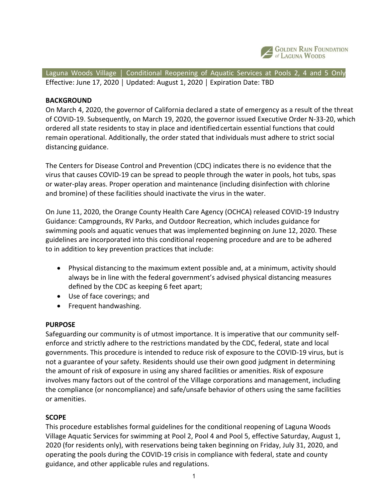

Laguna Woods Village | Conditional Reopening of Aquatic Services at Pools 2, 4 and 5 Only Effective: June 17, 2020 │ Updated: August 1, 2020 │ Expiration Date: TBD

### **BACKGROUND**

On March 4, 2020, the governor of California declared a state of emergency as a result of the threat of COVID‐19. Subsequently, on March 19, 2020, the governor issued Executive Order N‐33‐20, which ordered all state residents to stay in place and identified certain essential functions that could remain operational. Additionally, the order stated that individuals must adhere to strict social distancing guidance.

The Centers for Disease Control and Prevention (CDC) indicates there is no evidence that the virus that causes COVID-19 can be spread to people through the water in pools, hot tubs, spas or water-play areas. Proper operation and maintenance (including disinfection with chlorine and bromine) of these facilities should inactivate the virus in the water.

On June 11, 2020, the Orange County Health Care Agency (OCHCA) released COVID-19 Industry Guidance: Campgrounds, RV Parks, and Outdoor Recreation, which includes guidance for swimming pools and aquatic venues that was implemented beginning on June 12, 2020. These guidelines are incorporated into this conditional reopening procedure and are to be adhered to in addition to key prevention practices that include:

- Physical distancing to the maximum extent possible and, at a minimum, activity should always be in line with the federal government's advised physical distancing measures defined by the CDC as keeping 6 feet apart;
- Use of face coverings; and
- Frequent handwashing.

## **PURPOSE**

Safeguarding our community is of utmost importance. It is imperative that our community self‐ enforce and strictly adhere to the restrictions mandated by the CDC, federal, state and local governments. This procedure is intended to reduce risk of exposure to the COVID-19 virus, but is not a guarantee of your safety. Residents should use their own good judgment in determining the amount of risk of exposure in using any shared facilities or amenities. Risk of exposure involves many factors out of the control of the Village corporations and management, including the compliance (or noncompliance) and safe/unsafe behavior of others using the same facilities or amenities.

## **SCOPE**

This procedure establishes formal guidelines for the conditional reopening of Laguna Woods Village Aquatic Services for swimming at Pool 2, Pool 4 and Pool 5, effective Saturday, August 1, 2020 (for residents only), with reservations being taken beginning on Friday, July 31, 2020, and operating the pools during the COVID‐19 crisis in compliance with federal, state and county guidance, and other applicable rules and regulations.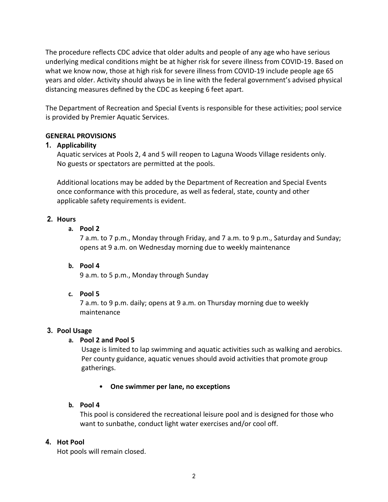The procedure reflects CDC advice that older adults and people of any age who have serious underlying medical conditions might be at higher risk for severe illness from COVID‐19. Based on what we know now, those at high risk for severe illness from COVID-19 include people age 65 years and older. Activity should always be in line with the federal government's advised physical distancing measures defined by the CDC as keeping 6 feet apart.

The Department of Recreation and Special Events is responsible for these activities; pool service is provided by Premier Aquatic Services.

# **GENERAL PROVISIONS**

# **1. Applicability**

Aquatic services at Pools 2, 4 and 5 will reopen to Laguna Woods Village residents only. No guests or spectators are permitted at the pools.

Additional locations may be added by the Department of Recreation and Special Events once conformance with this procedure, as well as federal, state, county and other applicable safety requirements is evident.

## **2. Hours**

**a. Pool 2**

7 a.m. to 7 p.m., Monday through Friday, and 7 a.m. to 9 p.m., Saturday and Sunday; opens at 9 a.m. on Wednesday morning due to weekly maintenance

## **b. Pool 4**

9 a.m. to 5 p.m., Monday through Sunday

## **c. Pool 5**

7 a.m. to 9 p.m. daily; opens at 9 a.m. on Thursday morning due to weekly maintenance

## **3. Pool Usage**

## **a. Pool 2 and Pool 5**

Usage is limited to lap swimming and aquatic activities such as walking and aerobics. Per county guidance, aquatic venues should avoid activities that promote group gatherings.

# • **One swimmer per lane, no exceptions**

# **b. Pool 4**

This pool is considered the recreational leisure pool and is designed for those who want to sunbathe, conduct light water exercises and/or cool off.

# **4. Hot Pool**

Hot pools will remain closed.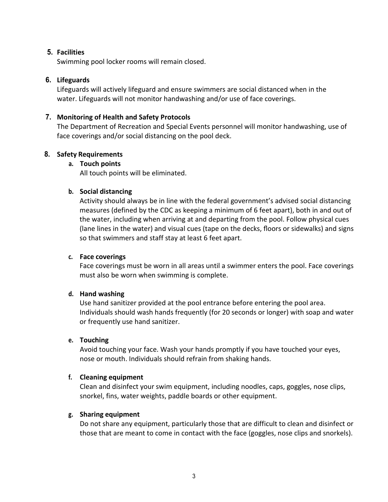## **5. Facilities**

Swimming pool locker rooms will remain closed.

## **6. Lifeguards**

Lifeguards will actively lifeguard and ensure swimmers are social distanced when in the water. Lifeguards will not monitor handwashing and/or use of face coverings.

## **7. Monitoring of Health and Safety Protocols**

The Department of Recreation and Special Events personnel will monitor handwashing, use of face coverings and/or social distancing on the pool deck.

## **8. Safety Requirements**

## **a. Touch points**

All touch points will be eliminated.

## **b. Social distancing**

Activity should always be in line with the federal government's advised social distancing measures (defined by the CDC as keeping a minimum of 6 feet apart), both in and out of the water, including when arriving at and departing from the pool. Follow physical cues (lane lines in the water) and visual cues (tape on the decks, floors or sidewalks) and signs so that swimmers and staff stay at least 6 feet apart.

## **c. Face coverings**

Face coverings must be worn in all areas until a swimmer enters the pool. Face coverings must also be worn when swimming is complete.

### **d. Hand washing**

Use hand sanitizer provided at the pool entrance before entering the pool area. Individuals should wash hands frequently (for 20 seconds or longer) with soap and water or frequently use hand sanitizer.

### **e. Touching**

Avoid touching your face. Wash your hands promptly if you have touched your eyes, nose or mouth. Individuals should refrain from shaking hands.

## **f. Cleaning equipment**

Clean and disinfect your swim equipment, including noodles, caps, goggles, nose clips, snorkel, fins, water weights, paddle boards or other equipment.

### **g. Sharing equipment**

Do not share any equipment, particularly those that are difficult to clean and disinfect or those that are meant to come in contact with the face (goggles, nose clips and snorkels).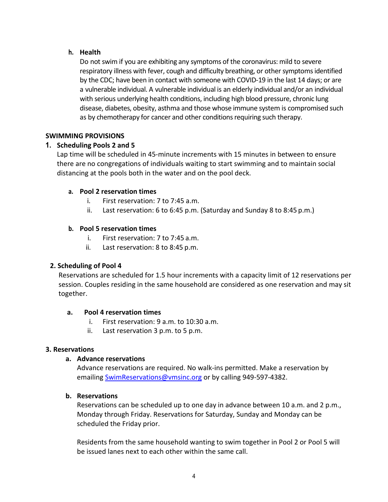# **h. Health**

Do not swim if you are exhibiting any symptoms of the coronavirus: mild to severe respiratory illness with fever, cough and difficulty breathing, or other symptoms identified by the CDC; have been in contact with someone with COVID‐19 in the last 14 days; or are a vulnerable individual. A vulnerable individual is an elderly individual and/or an individual with serious underlying health conditions, including high blood pressure, chronic lung disease, diabetes, obesity, asthma and those whose immune system is compromised such as by chemotherapy for cancer and other conditions requiring such therapy.

# **SWIMMING PROVISIONS**

# **1. Scheduling Pools 2 and 5**

Lap time will be scheduled in 45-minute increments with 15 minutes in between to ensure there are no congregations of individuals waiting to start swimming and to maintain social distancing at the pools both in the water and on the pool deck.

# **a. Pool 2 reservation times**

- i. First reservation: 7 to 7:45 a.m.
- ii. Last reservation: 6 to 6:45 p.m. (Saturday and Sunday 8 to 8:45 p.m.)

# **b. Pool 5 reservation times**

- i. First reservation: 7 to 7:45 a.m.
- ii. Last reservation: 8 to 8:45 p.m.

# **2. Scheduling of Pool 4**

Reservations are scheduled for 1.5 hour increments with a capacity limit of 12 reservations per session. Couples residing in the same household are considered as one reservation and may sit together.

# **a. Pool 4 reservation times**

- i. First reservation: 9 a.m. to 10:30 a.m.
- ii. Last reservation 3 p.m. to 5 p.m.

# **3. Reservations**

# **a. Advance reservations**

Advance reservations are required. No walk-ins permitted. Make a reservation by emailing [SwimReservations@vmsinc.org](mailto:SwimReservations@vmsinc.org) or by calling 949-597-4382.

# **b. Reservations**

Reservations can be scheduled up to one day in advance between 10 a.m. and 2 p.m., Monday through Friday. Reservations for Saturday, Sunday and Monday can be scheduled the Friday prior.

Residents from the same household wanting to swim together in Pool 2 or Pool 5 will be issued lanes next to each other within the same call.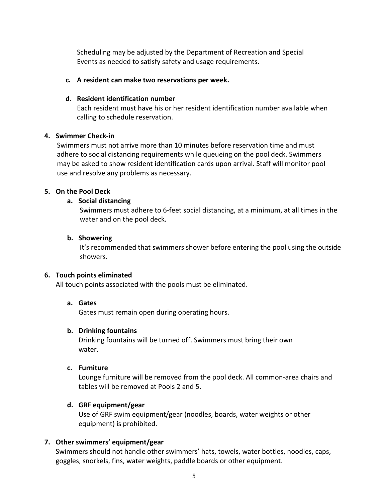Scheduling may be adjusted by the Department of Recreation and Special Events as needed to satisfy safety and usage requirements.

## **c. A resident can make two reservations per week.**

### **d. Resident identification number**

Each resident must have his or her resident identification number available when calling to schedule reservation.

## **4. Swimmer Check‐in**

Swimmers must not arrive more than 10 minutes before reservation time and must adhere to social distancing requirements while queueing on the pool deck. Swimmers may be asked to show resident identification cards upon arrival. Staff will monitor pool use and resolve any problems as necessary.

## **5. On the Pool Deck**

## **a. Social distancing**

Swimmers must adhere to 6-feet social distancing, at a minimum, at all times in the water and on the pool deck.

## **b. Showering**

It's recommended that swimmers shower before entering the pool using the outside showers.

### **6. Touch points eliminated**

All touch points associated with the pools must be eliminated.

## **a. Gates**

Gates must remain open during operating hours.

### **b. Drinking fountains**

Drinking fountains will be turned off. Swimmers must bring their own water.

# **c. Furniture**

Lounge furniture will be removed from the pool deck. All common-area chairs and tables will be removed at Pools 2 and 5.

## **d. GRF equipment/gear**

Use of GRF swim equipment/gear (noodles, boards, water weights or other equipment) is prohibited.

## **7. Other swimmers' equipment/gear**

Swimmers should not handle other swimmers' hats, towels, water bottles, noodles, caps, goggles, snorkels, fins, water weights, paddle boards or other equipment.